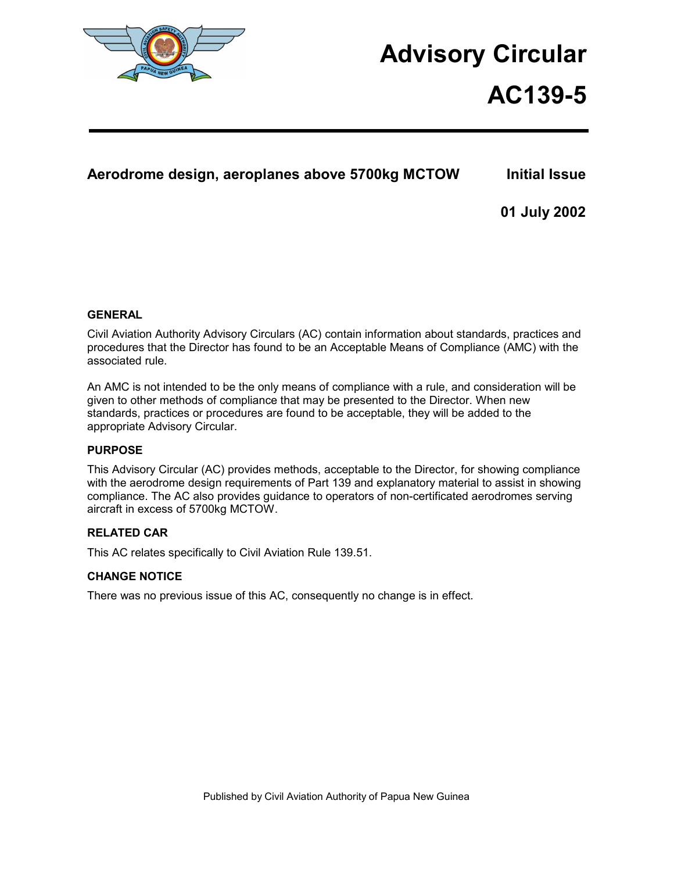

# **Advisory Circular**

# **AC139-5**

## **Aerodrome design, aeroplanes above 5700kg MCTOW Initial Issue**

**01 July 2002** 

### **GENERAL**

Civil Aviation Authority Advisory Circulars (AC) contain information about standards, practices and procedures that the Director has found to be an Acceptable Means of Compliance (AMC) with the associated rule.

An AMC is not intended to be the only means of compliance with a rule, and consideration will be given to other methods of compliance that may be presented to the Director. When new standards, practices or procedures are found to be acceptable, they will be added to the appropriate Advisory Circular.

### **PURPOSE**

This Advisory Circular (AC) provides methods, acceptable to the Director, for showing compliance with the aerodrome design requirements of Part 139 and explanatory material to assist in showing compliance. The AC also provides guidance to operators of non-certificated aerodromes serving aircraft in excess of 5700kg MCTOW.

### **RELATED CAR**

This AC relates specifically to Civil Aviation Rule 139.51.

### **CHANGE NOTICE**

There was no previous issue of this AC, consequently no change is in effect.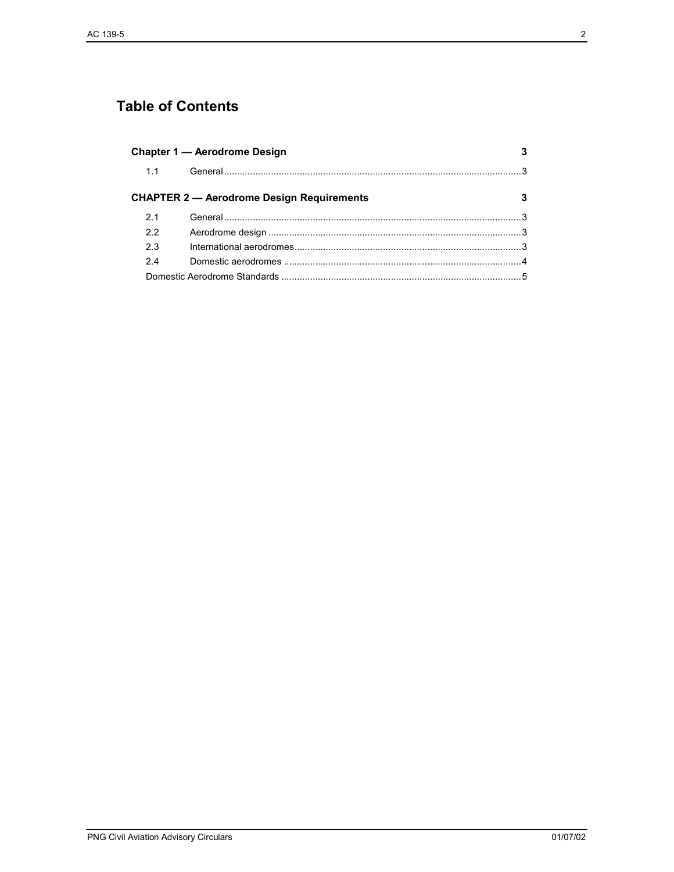# **Table of Contents**

| Chapter 1 - Aerodrome Design |                                                  |   |
|------------------------------|--------------------------------------------------|---|
| 1.1                          |                                                  |   |
|                              | <b>CHAPTER 2 — Aerodrome Design Requirements</b> | 3 |
| 2.1                          |                                                  |   |
| 22                           |                                                  |   |
| 2.3                          |                                                  |   |
| 24                           |                                                  |   |
|                              |                                                  |   |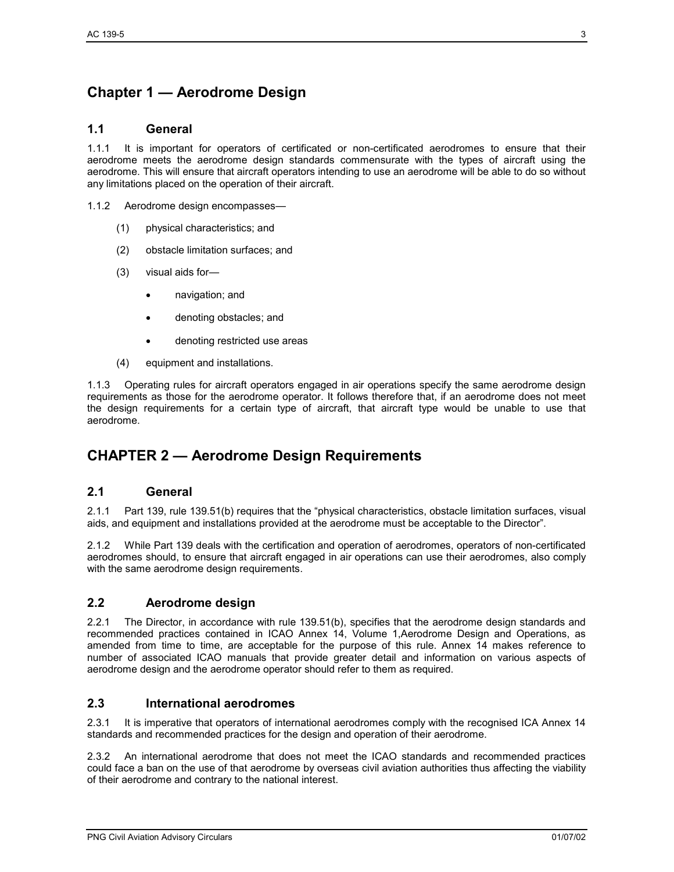## **Chapter 1 — Aerodrome Design**

### **1.1 General**

1.1.1 It is important for operators of certificated or non-certificated aerodromes to ensure that their aerodrome meets the aerodrome design standards commensurate with the types of aircraft using the aerodrome. This will ensure that aircraft operators intending to use an aerodrome will be able to do so without any limitations placed on the operation of their aircraft.

1.1.2 Aerodrome design encompasses—

- (1) physical characteristics; and
- (2) obstacle limitation surfaces; and
- (3) visual aids for—
	- navigation; and
	- denoting obstacles; and
	- denoting restricted use areas
- (4) equipment and installations.

1.1.3 Operating rules for aircraft operators engaged in air operations specify the same aerodrome design requirements as those for the aerodrome operator. It follows therefore that, if an aerodrome does not meet the design requirements for a certain type of aircraft, that aircraft type would be unable to use that aerodrome.

### **CHAPTER 2 — Aerodrome Design Requirements**

#### **2.1 General**

2.1.1 Part 139, rule 139.51(b) requires that the "physical characteristics, obstacle limitation surfaces, visual aids, and equipment and installations provided at the aerodrome must be acceptable to the Director".

2.1.2 While Part 139 deals with the certification and operation of aerodromes, operators of non-certificated aerodromes should, to ensure that aircraft engaged in air operations can use their aerodromes, also comply with the same aerodrome design requirements.

### **2.2 Aerodrome design**

2.2.1 The Director, in accordance with rule 139.51(b), specifies that the aerodrome design standards and recommended practices contained in ICAO Annex 14, Volume 1,Aerodrome Design and Operations, as amended from time to time, are acceptable for the purpose of this rule. Annex 14 makes reference to number of associated ICAO manuals that provide greater detail and information on various aspects of aerodrome design and the aerodrome operator should refer to them as required.

### **2.3 International aerodromes**

2.3.1 It is imperative that operators of international aerodromes comply with the recognised ICA Annex 14 standards and recommended practices for the design and operation of their aerodrome.

2.3.2 An international aerodrome that does not meet the ICAO standards and recommended practices could face a ban on the use of that aerodrome by overseas civil aviation authorities thus affecting the viability of their aerodrome and contrary to the national interest.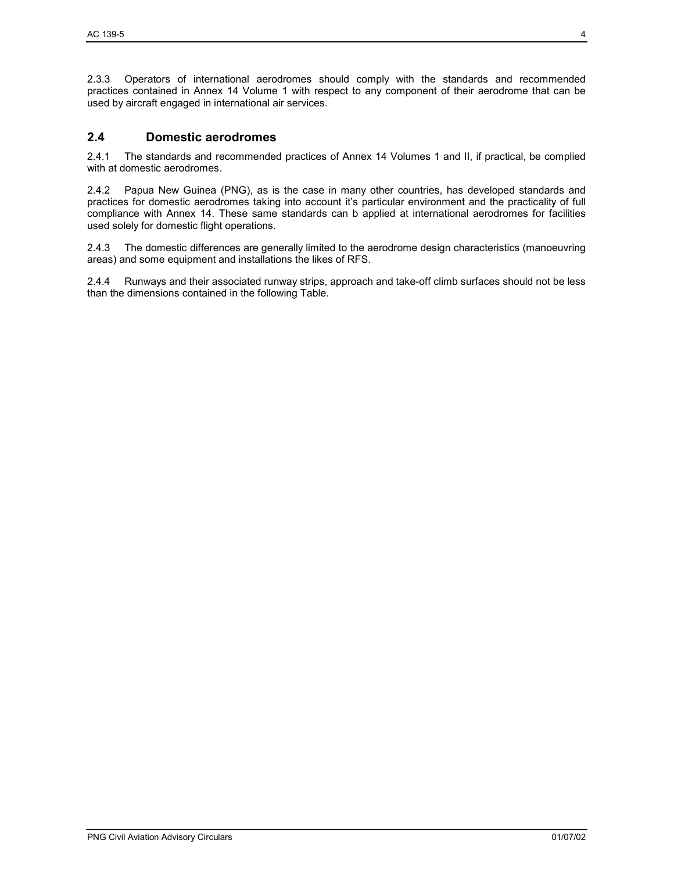2.3.3 Operators of international aerodromes should comply with the standards and recommended practices contained in Annex 14 Volume 1 with respect to any component of their aerodrome that can be used by aircraft engaged in international air services.

### **2.4 Domestic aerodromes**

2.4.1 The standards and recommended practices of Annex 14 Volumes 1 and II, if practical, be complied with at domestic aerodromes.

2.4.2 Papua New Guinea (PNG), as is the case in many other countries, has developed standards and practices for domestic aerodromes taking into account it's particular environment and the practicality of full compliance with Annex 14. These same standards can b applied at international aerodromes for facilities used solely for domestic flight operations.

2.4.3 The domestic differences are generally limited to the aerodrome design characteristics (manoeuvring areas) and some equipment and installations the likes of RFS.

2.4.4 Runways and their associated runway strips, approach and take-off climb surfaces should not be less than the dimensions contained in the following Table.